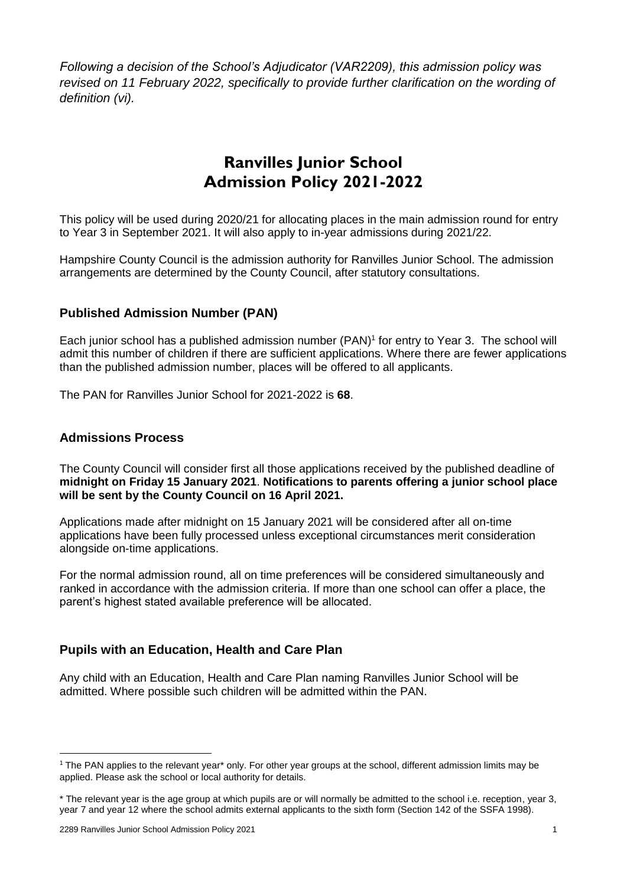*Following a decision of the School's Adjudicator (VAR2209), this admission policy was revised on 11 February 2022, specifically to provide further clarification on the wording of definition (vi).*

## **Ranvilles Junior School Admission Policy 2021-2022**

This policy will be used during 2020/21 for allocating places in the main admission round for entry to Year 3 in September 2021. It will also apply to in-year admissions during 2021/22.

Hampshire County Council is the admission authority for Ranvilles Junior School. The admission arrangements are determined by the County Council, after statutory consultations.

#### **Published Admission Number (PAN)**

Each junior school has a published admission number (PAN) 1 for entry to Year 3. The school will admit this number of children if there are sufficient applications. Where there are fewer applications than the published admission number, places will be offered to all applicants.

The PAN for Ranvilles Junior School for 2021-2022 is **68**.

#### **Admissions Process**

The County Council will consider first all those applications received by the published deadline of **midnight on Friday 15 January 2021**. **Notifications to parents offering a junior school place will be sent by the County Council on 16 April 2021.**

Applications made after midnight on 15 January 2021 will be considered after all on-time applications have been fully processed unless exceptional circumstances merit consideration alongside on-time applications.

For the normal admission round, all on time preferences will be considered simultaneously and ranked in accordance with the admission criteria. If more than one school can offer a place, the parent's highest stated available preference will be allocated.

#### **Pupils with an Education, Health and Care Plan**

Any child with an Education, Health and Care Plan naming Ranvilles Junior School will be admitted. Where possible such children will be admitted within the PAN.

1

 $1$  The PAN applies to the relevant year\* only. For other year groups at the school, different admission limits may be applied. Please ask the school or local authority for details.

<sup>\*</sup> The relevant year is the age group at which pupils are or will normally be admitted to the school i.e. reception, year 3, year 7 and year 12 where the school admits external applicants to the sixth form (Section 142 of the SSFA 1998).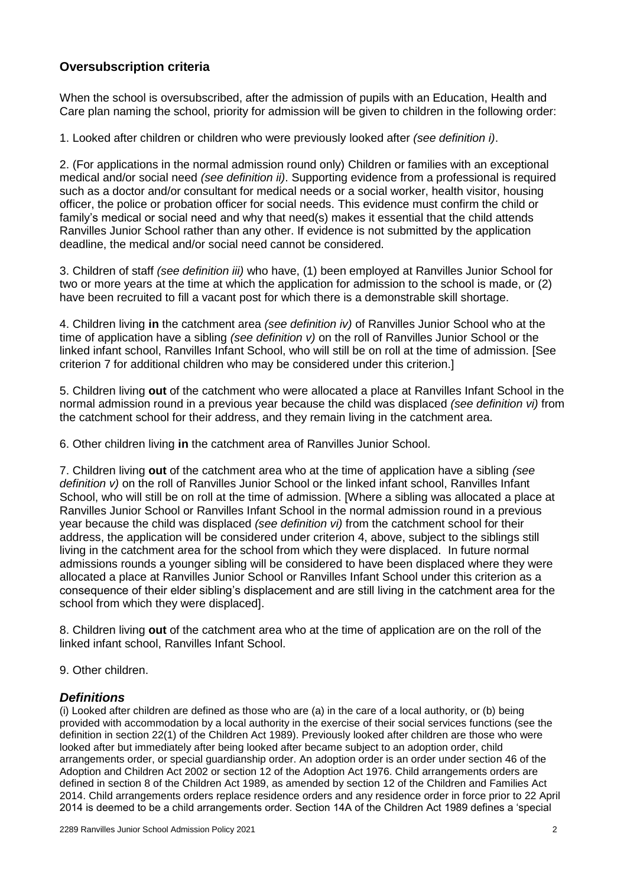#### **Oversubscription criteria**

When the school is oversubscribed, after the admission of pupils with an Education, Health and Care plan naming the school, priority for admission will be given to children in the following order:

1. Looked after children or children who were previously looked after *(see definition i)*.

2. (For applications in the normal admission round only) Children or families with an exceptional medical and/or social need *(see definition ii)*. Supporting evidence from a professional is required such as a doctor and/or consultant for medical needs or a social worker, health visitor, housing officer, the police or probation officer for social needs. This evidence must confirm the child or family's medical or social need and why that need(s) makes it essential that the child attends Ranvilles Junior School rather than any other. If evidence is not submitted by the application deadline, the medical and/or social need cannot be considered.

3. Children of staff *(see definition iii)* who have, (1) been employed at Ranvilles Junior School for two or more years at the time at which the application for admission to the school is made, or (2) have been recruited to fill a vacant post for which there is a demonstrable skill shortage.

4. Children living **in** the catchment area *(see definition iv)* of Ranvilles Junior School who at the time of application have a sibling *(see definition v)* on the roll of Ranvilles Junior School or the linked infant school, Ranvilles Infant School, who will still be on roll at the time of admission. [See criterion 7 for additional children who may be considered under this criterion.]

5. Children living **out** of the catchment who were allocated a place at Ranvilles Infant School in the normal admission round in a previous year because the child was displaced *(see definition vi)* from the catchment school for their address, and they remain living in the catchment area.

6. Other children living **in** the catchment area of Ranvilles Junior School.

7. Children living **out** of the catchment area who at the time of application have a sibling *(see definition v)* on the roll of Ranvilles Junior School or the linked infant school, Ranvilles Infant School, who will still be on roll at the time of admission. [Where a sibling was allocated a place at Ranvilles Junior School or Ranvilles Infant School in the normal admission round in a previous year because the child was displaced *(see definition vi)* from the catchment school for their address, the application will be considered under criterion 4, above, subject to the siblings still living in the catchment area for the school from which they were displaced. In future normal admissions rounds a younger sibling will be considered to have been displaced where they were allocated a place at Ranvilles Junior School or Ranvilles Infant School under this criterion as a consequence of their elder sibling's displacement and are still living in the catchment area for the school from which they were displaced].

8. Children living **out** of the catchment area who at the time of application are on the roll of the linked infant school, Ranvilles Infant School.

9. Other children.

#### *Definitions*

(i) Looked after children are defined as those who are (a) in the care of a local authority, or (b) being provided with accommodation by a local authority in the exercise of their social services functions (see the definition in section 22(1) of the Children Act 1989). Previously looked after children are those who were looked after but immediately after being looked after became subject to an adoption order, child arrangements order, or special guardianship order. An adoption order is an order under section 46 of the Adoption and Children Act 2002 or section 12 of the Adoption Act 1976. Child arrangements orders are defined in section 8 of the Children Act 1989, as amended by section 12 of the Children and Families Act 2014. Child arrangements orders replace residence orders and any residence order in force prior to 22 April 2014 is deemed to be a child arrangements order. Section 14A of the Children Act 1989 defines a 'special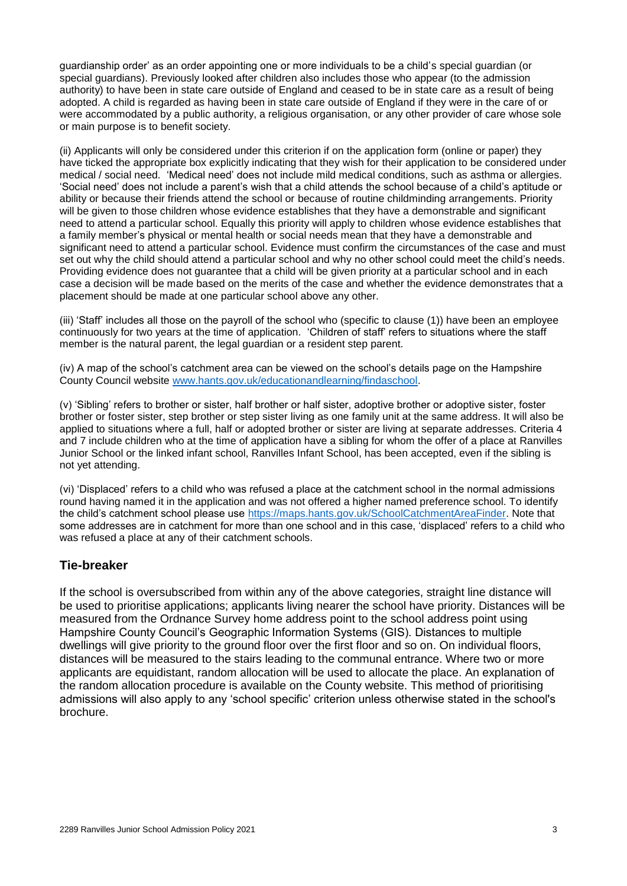guardianship order' as an order appointing one or more individuals to be a child's special guardian (or special guardians). Previously looked after children also includes those who appear (to the admission authority) to have been in state care outside of England and ceased to be in state care as a result of being adopted. A child is regarded as having been in state care outside of England if they were in the care of or were accommodated by a public authority, a religious organisation, or any other provider of care whose sole or main purpose is to benefit society.

(ii) Applicants will only be considered under this criterion if on the application form (online or paper) they have ticked the appropriate box explicitly indicating that they wish for their application to be considered under medical / social need. 'Medical need' does not include mild medical conditions, such as asthma or allergies. 'Social need' does not include a parent's wish that a child attends the school because of a child's aptitude or ability or because their friends attend the school or because of routine childminding arrangements. Priority will be given to those children whose evidence establishes that they have a demonstrable and significant need to attend a particular school. Equally this priority will apply to children whose evidence establishes that a family member's physical or mental health or social needs mean that they have a demonstrable and significant need to attend a particular school. Evidence must confirm the circumstances of the case and must set out why the child should attend a particular school and why no other school could meet the child's needs. Providing evidence does not guarantee that a child will be given priority at a particular school and in each case a decision will be made based on the merits of the case and whether the evidence demonstrates that a placement should be made at one particular school above any other.

(iii) 'Staff' includes all those on the payroll of the school who (specific to clause (1)) have been an employee continuously for two years at the time of application. 'Children of staff' refers to situations where the staff member is the natural parent, the legal guardian or a resident step parent.

(iv) A map of the school's catchment area can be viewed on the school's details page on the Hampshire County Council website [www.hants.gov.uk/educationandlearning/findaschool.](http://www.hants.gov.uk/educationandlearning/findaschool)

(v) 'Sibling' refers to brother or sister, half brother or half sister, adoptive brother or adoptive sister, foster brother or foster sister, step brother or step sister living as one family unit at the same address. It will also be applied to situations where a full, half or adopted brother or sister are living at separate addresses. Criteria 4 and 7 include children who at the time of application have a sibling for whom the offer of a place at Ranvilles Junior School or the linked infant school, Ranvilles Infant School, has been accepted, even if the sibling is not yet attending.

(vi) 'Displaced' refers to a child who was refused a place at the catchment school in the normal admissions round having named it in the application and was not offered a higher named preference school. To identify the child's catchment school please use [https://maps.hants.gov.uk/SchoolCatchmentAreaFinder.](https://maps.hants.gov.uk/SchoolCatchmentAreaFinder/) Note that some addresses are in catchment for more than one school and in this case, 'displaced' refers to a child who was refused a place at any of their catchment schools.

#### **Tie-breaker**

If the school is oversubscribed from within any of the above categories, straight line distance will be used to prioritise applications; applicants living nearer the school have priority. Distances will be measured from the Ordnance Survey home address point to the school address point using Hampshire County Council's Geographic Information Systems (GIS). Distances to multiple dwellings will give priority to the ground floor over the first floor and so on. On individual floors, distances will be measured to the stairs leading to the communal entrance. Where two or more applicants are equidistant, random allocation will be used to allocate the place. An explanation of the random allocation procedure is available on the County website. This method of prioritising admissions will also apply to any 'school specific' criterion unless otherwise stated in the school's brochure.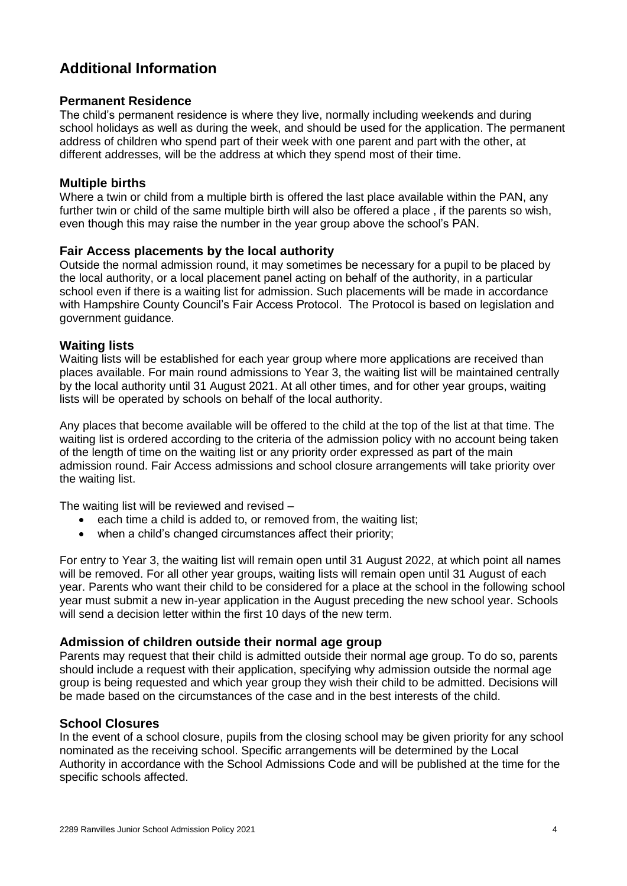### **Additional Information**

#### **Permanent Residence**

The child's permanent residence is where they live, normally including weekends and during school holidays as well as during the week, and should be used for the application. The permanent address of children who spend part of their week with one parent and part with the other, at different addresses, will be the address at which they spend most of their time.

#### **Multiple births**

Where a twin or child from a multiple birth is offered the last place available within the PAN, any further twin or child of the same multiple birth will also be offered a place , if the parents so wish, even though this may raise the number in the year group above the school's PAN.

#### **Fair Access placements by the local authority**

Outside the normal admission round, it may sometimes be necessary for a pupil to be placed by the local authority, or a local placement panel acting on behalf of the authority, in a particular school even if there is a waiting list for admission. Such placements will be made in accordance with Hampshire County Council's Fair Access Protocol. The Protocol is based on legislation and government guidance.

#### **Waiting lists**

Waiting lists will be established for each year group where more applications are received than places available. For main round admissions to Year 3, the waiting list will be maintained centrally by the local authority until 31 August 2021. At all other times, and for other year groups, waiting lists will be operated by schools on behalf of the local authority.

Any places that become available will be offered to the child at the top of the list at that time. The waiting list is ordered according to the criteria of the admission policy with no account being taken of the length of time on the waiting list or any priority order expressed as part of the main admission round. Fair Access admissions and school closure arrangements will take priority over the waiting list.

The waiting list will be reviewed and revised –

- each time a child is added to, or removed from, the waiting list;
- when a child's changed circumstances affect their priority;

For entry to Year 3, the waiting list will remain open until 31 August 2022, at which point all names will be removed. For all other year groups, waiting lists will remain open until 31 August of each year. Parents who want their child to be considered for a place at the school in the following school year must submit a new in-year application in the August preceding the new school year. Schools will send a decision letter within the first 10 days of the new term.

#### **Admission of children outside their normal age group**

Parents may request that their child is admitted outside their normal age group. To do so, parents should include a request with their application, specifying why admission outside the normal age group is being requested and which year group they wish their child to be admitted. Decisions will be made based on the circumstances of the case and in the best interests of the child.

#### **School Closures**

In the event of a school closure, pupils from the closing school may be given priority for any school nominated as the receiving school. Specific arrangements will be determined by the Local Authority in accordance with the School Admissions Code and will be published at the time for the specific schools affected.